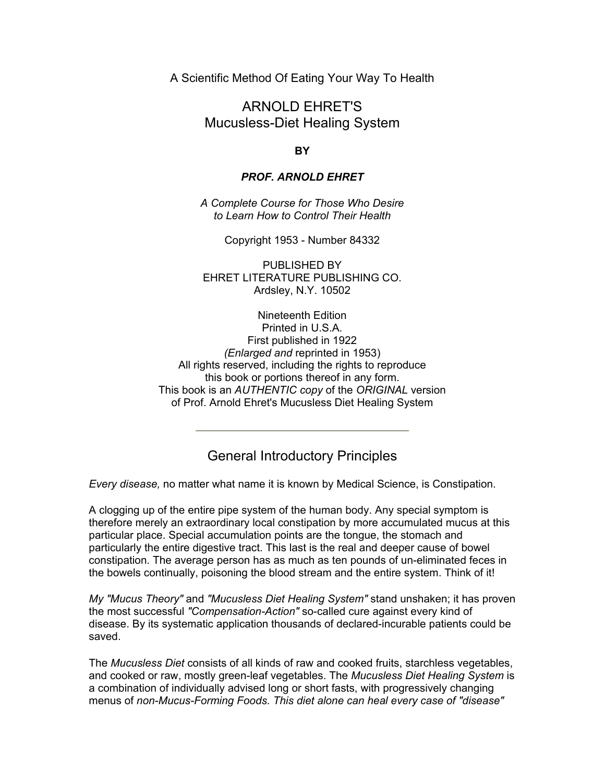A Scientific Method Of Eating Your Way To Health

ARNOLD EHRET'S Mucusless-Diet Healing System

**BY** 

#### *PROF. ARNOLD EHRET*

*A Complete Course for Those Who Desire to Learn How to Control Their Health*

Copyright 1953 - Number 84332

PUBLISHED BY EHRET LITERATURE PUBLISHING CO. Ardsley, N.Y. 10502

Nineteenth Edition Printed in U.S.A. First published in 1922 *(Enlarged and* reprinted in 1953) All rights reserved, including the rights to reproduce this book or portions thereof in any form. This book is an *AUTHENTIC copy* of the *ORIGINAL* version of Prof. Arnold Ehret's Mucusless Diet Healing System

General Introductory Principles

*Every disease,* no matter what name it is known by Medical Science, is Constipation.

A clogging up of the entire pipe system of the human body. Any special symptom is therefore merely an extraordinary local constipation by more accumulated mucus at this particular place. Special accumulation points are the tongue, the stomach and particularly the entire digestive tract. This last is the real and deeper cause of bowel constipation. The average person has as much as ten pounds of un-eliminated feces in the bowels continually, poisoning the blood stream and the entire system. Think of it!

*My "Mucus Theory"* and *"Mucusless Diet Healing System"* stand unshaken; it has proven the most successful *"Compensation-Action"* so-called cure against every kind of disease. By its systematic application thousands of declared-incurable patients could be saved.

The *Mucusless Diet* consists of all kinds of raw and cooked fruits, starchless vegetables, and cooked or raw, mostly green-leaf vegetables. The *Mucusless Diet Healing System* is a combination of individually advised long or short fasts, with progressively changing menus of *non-Mucus-Forming Foods. This diet alone can heal every case of "disease"*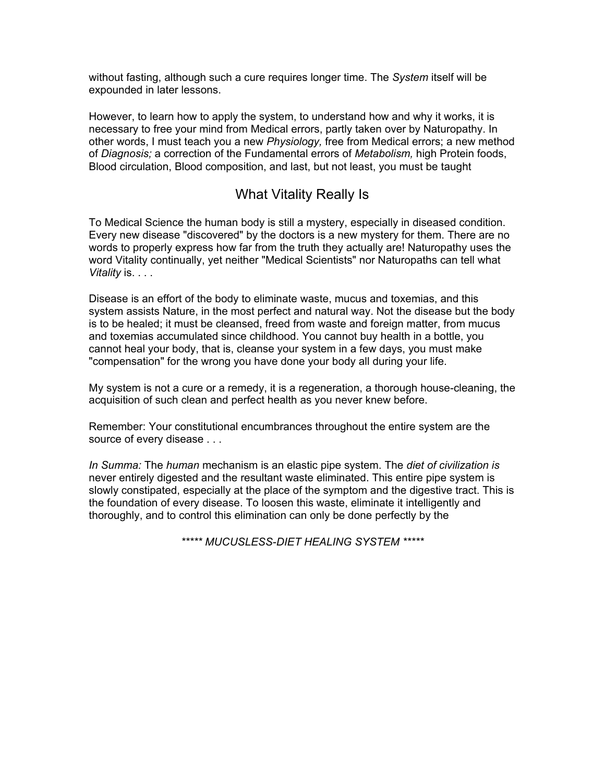without fasting, although such a cure requires longer time. The *System* itself will be expounded in later lessons.

However, to learn how to apply the system, to understand how and why it works, it is necessary to free your mind from Medical errors, partly taken over by Naturopathy. In other words, I must teach you a new *Physiology,* free from Medical errors; a new method of *Diagnosis;* a correction of the Fundamental errors of *Metabolism,* high Protein foods, Blood circulation, Blood composition, and last, but not least, you must be taught

#### What Vitality Really Is

To Medical Science the human body is still a mystery, especially in diseased condition. Every new disease "discovered" by the doctors is a new mystery for them. There are no words to properly express how far from the truth they actually are! Naturopathy uses the word Vitality continually, yet neither "Medical Scientists" nor Naturopaths can tell what *Vitality* is. . . .

Disease is an effort of the body to eliminate waste, mucus and toxemias, and this system assists Nature, in the most perfect and natural way. Not the disease but the body is to be healed; it must be cleansed, freed from waste and foreign matter, from mucus and toxemias accumulated since childhood. You cannot buy health in a bottle, you cannot heal your body, that is, cleanse your system in a few days, you must make "compensation" for the wrong you have done your body all during your life.

My system is not a cure or a remedy, it is a regeneration, a thorough house-cleaning, the acquisition of such clean and perfect health as you never knew before.

Remember: Your constitutional encumbrances throughout the entire system are the source of every disease . . .

*In Summa:* The *human* mechanism is an elastic pipe system. The *diet of civilization is* never entirely digested and the resultant waste eliminated. This entire pipe system is slowly constipated, especially at the place of the symptom and the digestive tract. This is the foundation of every disease. To loosen this waste, eliminate it intelligently and thoroughly, and to control this elimination can only be done perfectly by the

*\*\*\*\*\* MUCUSLESS-DIET HEALING SYSTEM \*\*\*\*\**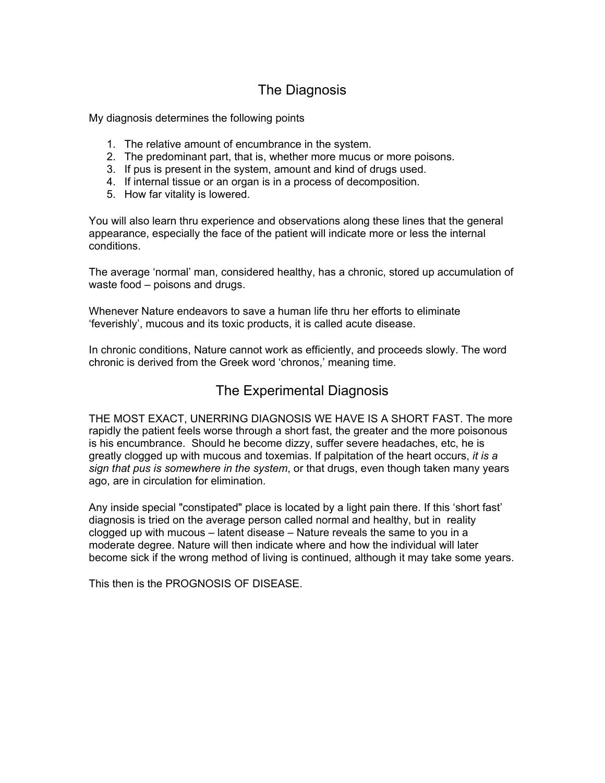# The Diagnosis

My diagnosis determines the following points

- 1. The relative amount of encumbrance in the system.
- 2. The predominant part, that is, whether more mucus or more poisons.
- 3. If pus is present in the system, amount and kind of drugs used.
- 4. If internal tissue or an organ is in a process of decomposition.
- 5. How far vitality is lowered.

You will also learn thru experience and observations along these lines that the general appearance, especially the face of the patient will indicate more or less the internal conditions.

The average 'normal' man, considered healthy, has a chronic, stored up accumulation of waste food – poisons and drugs.

Whenever Nature endeavors to save a human life thru her efforts to eliminate 'feverishly', mucous and its toxic products, it is called acute disease.

In chronic conditions, Nature cannot work as efficiently, and proceeds slowly. The word chronic is derived from the Greek word 'chronos,' meaning time.

### The Experimental Diagnosis

THE MOST EXACT, UNERRING DIAGNOSIS WE HAVE IS A SHORT FAST. The more rapidly the patient feels worse through a short fast, the greater and the more poisonous is his encumbrance. Should he become dizzy, suffer severe headaches, etc, he is greatly clogged up with mucous and toxemias. If palpitation of the heart occurs, *it is a sign that pus is somewhere in the system*, or that drugs, even though taken many years ago, are in circulation for elimination.

Any inside special "constipated" place is located by a light pain there. If this 'short fast' diagnosis is tried on the average person called normal and healthy, but in reality clogged up with mucous – latent disease – Nature reveals the same to you in a moderate degree. Nature will then indicate where and how the individual will later become sick if the wrong method of living is continued, although it may take some years.

This then is the PROGNOSIS OF DISEASE.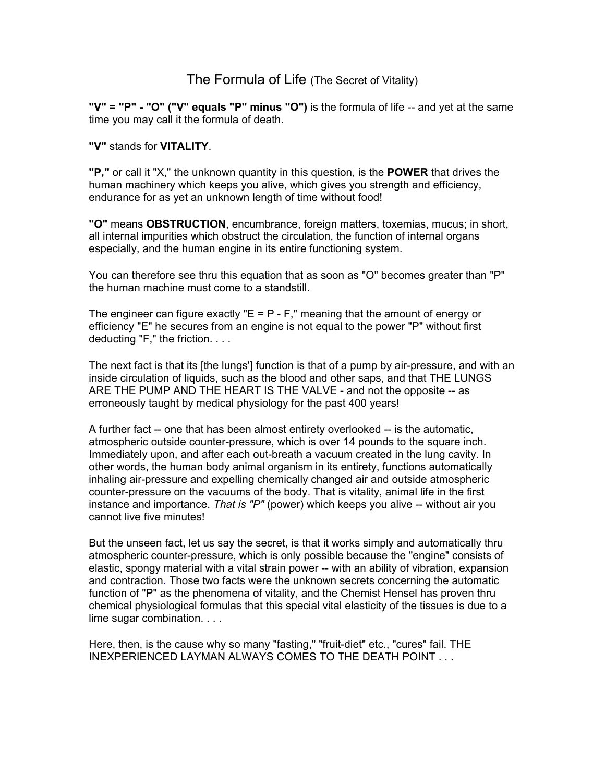#### The Formula of Life (The Secret of Vitality)

**"V" = "P" - "O" ("V" equals "P" minus "O")** is the formula of life -- and yet at the same time you may call it the formula of death.

**"V"** stands for **VITALITY**.

**"P,"** or call it "X," the unknown quantity in this question, is the **POWER** that drives the human machinery which keeps you alive, which gives you strength and efficiency, endurance for as yet an unknown length of time without food!

**"O"** means **OBSTRUCTION**, encumbrance, foreign matters, toxemias, mucus; in short, all internal impurities which obstruct the circulation, the function of internal organs especially, and the human engine in its entire functioning system.

You can therefore see thru this equation that as soon as "O" becomes greater than "P" the human machine must come to a standstill.

The engineer can figure exactly  $E = P - F$ ," meaning that the amount of energy or efficiency "E" he secures from an engine is not equal to the power "P" without first deducting "F," the friction. . . .

The next fact is that its [the lungs'] function is that of a pump by air-pressure, and with an inside circulation of liquids, such as the blood and other saps, and that THE LUNGS ARE THE PUMP AND THE HEART IS THE VALVE - and not the opposite -- as erroneously taught by medical physiology for the past 400 years!

A further fact -- one that has been almost entirety overlooked -- is the automatic, atmospheric outside counter-pressure, which is over 14 pounds to the square inch. Immediately upon, and after each out-breath a vacuum created in the lung cavity. In other words, the human body animal organism in its entirety, functions automatically inhaling air-pressure and expelling chemically changed air and outside atmospheric counter-pressure on the vacuums of the body. That is vitality, animal life in the first instance and importance. *That is "P"* (power) which keeps you alive -- without air you cannot live five minutes!

But the unseen fact, let us say the secret, is that it works simply and automatically thru atmospheric counter-pressure, which is only possible because the "engine" consists of elastic, spongy material with a vital strain power -- with an ability of vibration, expansion and contraction. Those two facts were the unknown secrets concerning the automatic function of "P" as the phenomena of vitality, and the Chemist Hensel has proven thru chemical physiological formulas that this special vital elasticity of the tissues is due to a lime sugar combination. . . .

Here, then, is the cause why so many "fasting," "fruit-diet" etc., "cures" fail. THE INEXPERIENCED LAYMAN ALWAYS COMES TO THE DEATH POINT . . .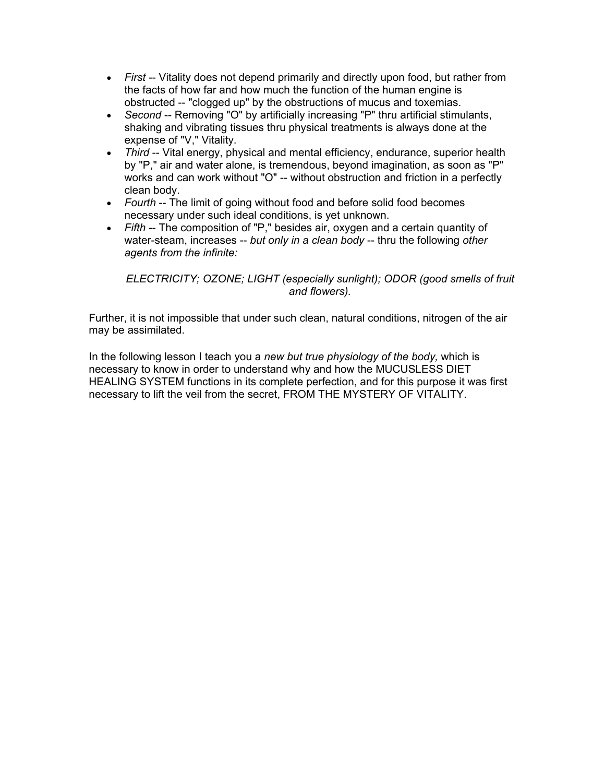- *First* -- Vitality does not depend primarily and directly upon food, but rather from the facts of how far and how much the function of the human engine is obstructed -- "clogged up" by the obstructions of mucus and toxemias.
- Second -- Removing "O" by artificially increasing "P" thru artificial stimulants, shaking and vibrating tissues thru physical treatments is always done at the expense of "V," Vitality.
- *Third* -- Vital energy, physical and mental efficiency, endurance, superior health by "P," air and water alone, is tremendous, beyond imagination, as soon as "P" works and can work without "O" -- without obstruction and friction in a perfectly clean body.
- *Fourth* -- The limit of going without food and before solid food becomes necessary under such ideal conditions, is yet unknown.
- Fifth -- The composition of "P," besides air, oxygen and a certain quantity of water-steam, increases -- *but only in a clean body* -- thru the following *other agents from the infinite:*

#### *ELECTRICITY; OZONE; LIGHT (especially sunlight); ODOR (good smells of fruit and flowers).*

Further, it is not impossible that under such clean, natural conditions, nitrogen of the air may be assimilated.

In the following lesson I teach you a *new but true physiology of the body,* which is necessary to know in order to understand why and how the MUCUSLESS DIET HEALING SYSTEM functions in its complete perfection, and for this purpose it was first necessary to lift the veil from the secret, FROM THE MYSTERY OF VITALITY.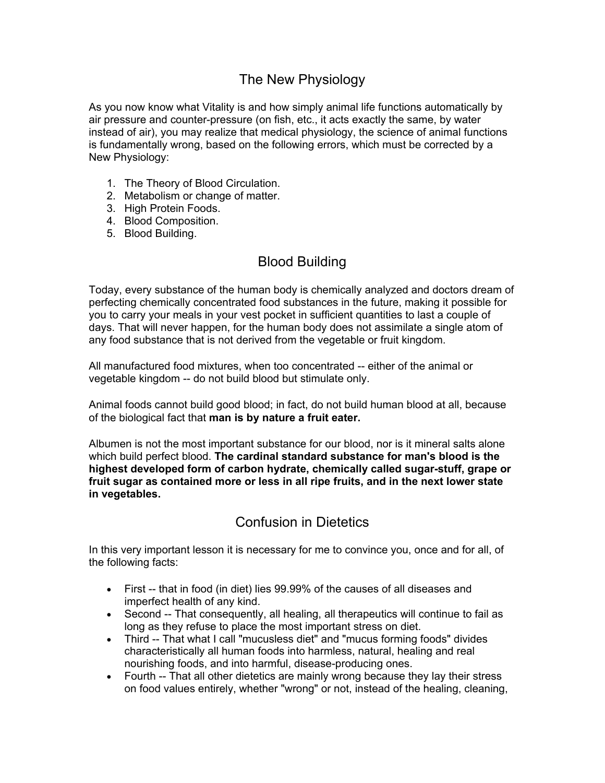## The New Physiology

As you now know what Vitality is and how simply animal life functions automatically by air pressure and counter-pressure (on fish, etc., it acts exactly the same, by water instead of air), you may realize that medical physiology, the science of animal functions is fundamentally wrong, based on the following errors, which must be corrected by a New Physiology:

- 1. The Theory of Blood Circulation.
- 2. Metabolism or change of matter.
- 3. High Protein Foods.
- 4. Blood Composition.
- 5. Blood Building.

## Blood Building

Today, every substance of the human body is chemically analyzed and doctors dream of perfecting chemically concentrated food substances in the future, making it possible for you to carry your meals in your vest pocket in sufficient quantities to last a couple of days. That will never happen, for the human body does not assimilate a single atom of any food substance that is not derived from the vegetable or fruit kingdom.

All manufactured food mixtures, when too concentrated -- either of the animal or vegetable kingdom -- do not build blood but stimulate only.

Animal foods cannot build good blood; in fact, do not build human blood at all, because of the biological fact that **man is by nature a fruit eater.**

Albumen is not the most important substance for our blood, nor is it mineral salts alone which build perfect blood. **The cardinal standard substance for man's blood is the highest developed form of carbon hydrate, chemically called sugar-stuff, grape or fruit sugar as contained more or less in all ripe fruits, and in the next lower state in vegetables.**

# Confusion in Dietetics

In this very important lesson it is necessary for me to convince you, once and for all, of the following facts:

- First -- that in food (in diet) lies 99.99% of the causes of all diseases and imperfect health of any kind.
- Second -- That consequently, all healing, all therapeutics will continue to fail as long as they refuse to place the most important stress on diet.
- Third -- That what I call "mucusless diet" and "mucus forming foods" divides characteristically all human foods into harmless, natural, healing and real nourishing foods, and into harmful, disease-producing ones.
- Fourth -- That all other dietetics are mainly wrong because they lay their stress on food values entirely, whether "wrong" or not, instead of the healing, cleaning,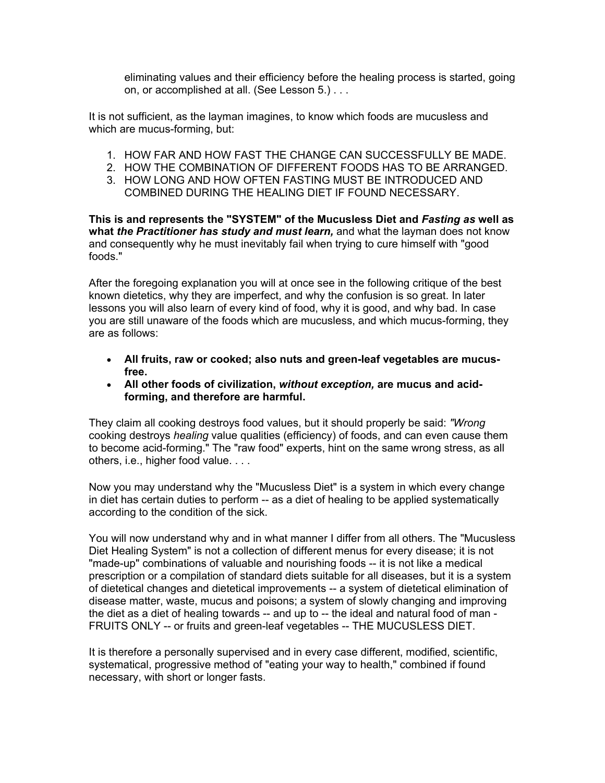eliminating values and their efficiency before the healing process is started, going on, or accomplished at all. (See Lesson 5.) . . .

It is not sufficient, as the layman imagines, to know which foods are mucusless and which are mucus-forming, but:

- 1. HOW FAR AND HOW FAST THE CHANGE CAN SUCCESSFULLY BE MADE.
- 2. HOW THE COMBINATION OF DIFFERENT FOODS HAS TO BE ARRANGED.
- 3. HOW LONG AND HOW OFTEN FASTING MUST BE INTRODUCED AND COMBINED DURING THE HEALING DIET IF FOUND NECESSARY.

**This is and represents the "SYSTEM" of the Mucusless Diet and** *Fasting as* **well as what** *the Practitioner has study and must learn,* and what the layman does not know and consequently why he must inevitably fail when trying to cure himself with "good foods."

After the foregoing explanation you will at once see in the following critique of the best known dietetics, why they are imperfect, and why the confusion is so great. In later lessons you will also learn of every kind of food, why it is good, and why bad. In case you are still unaware of the foods which are mucusless, and which mucus-forming, they are as follows:

- All fruits, raw or cooked; also nuts and green-leaf vegetables are mucus**free.**
- x **All other foods of civilization,** *without exception,* **are mucus and acidforming, and therefore are harmful.**

They claim all cooking destroys food values, but it should properly be said: *"Wrong* cooking destroys *healing* value qualities (efficiency) of foods, and can even cause them to become acid-forming." The "raw food" experts, hint on the same wrong stress, as all others, i.e., higher food value. . . .

Now you may understand why the "Mucusless Diet" is a system in which every change in diet has certain duties to perform -- as a diet of healing to be applied systematically according to the condition of the sick.

You will now understand why and in what manner I differ from all others. The "Mucusless Diet Healing System" is not a collection of different menus for every disease; it is not "made-up" combinations of valuable and nourishing foods -- it is not like a medical prescription or a compilation of standard diets suitable for all diseases, but it is a system of dietetical changes and dietetical improvements -- a system of dietetical elimination of disease matter, waste, mucus and poisons; a system of slowly changing and improving the diet as a diet of healing towards -- and up to -- the ideal and natural food of man - FRUITS ONLY -- or fruits and green-leaf vegetables -- THE MUCUSLESS DIET.

It is therefore a personally supervised and in every case different, modified, scientific, systematical, progressive method of "eating your way to health," combined if found necessary, with short or longer fasts.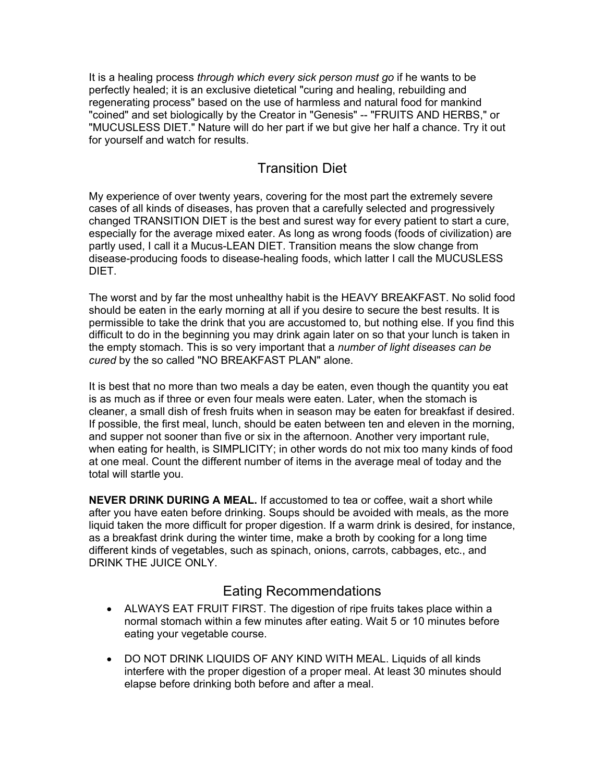It is a healing process *through which every sick person must go* if he wants to be perfectly healed; it is an exclusive dietetical "curing and healing, rebuilding and regenerating process" based on the use of harmless and natural food for mankind "coined" and set biologically by the Creator in "Genesis" -- "FRUITS AND HERBS," or "MUCUSLESS DIET." Nature will do her part if we but give her half a chance. Try it out for yourself and watch for results.

# Transition Diet

My experience of over twenty years, covering for the most part the extremely severe cases of all kinds of diseases, has proven that a carefully selected and progressively changed TRANSITION DIET is the best and surest way for every patient to start a cure, especially for the average mixed eater. As long as wrong foods (foods of civilization) are partly used, I call it a Mucus-LEAN DIET. Transition means the slow change from disease-producing foods to disease-healing foods, which latter I call the MUCUSLESS DIET.

The worst and by far the most unhealthy habit is the HEAVY BREAKFAST. No solid food should be eaten in the early morning at all if you desire to secure the best results. It is permissible to take the drink that you are accustomed to, but nothing else. If you find this difficult to do in the beginning you may drink again later on so that your lunch is taken in the empty stomach. This is so very important that a *number of light diseases can be cured* by the so called "NO BREAKFAST PLAN" alone.

It is best that no more than two meals a day be eaten, even though the quantity you eat is as much as if three or even four meals were eaten. Later, when the stomach is cleaner, a small dish of fresh fruits when in season may be eaten for breakfast if desired. If possible, the first meal, lunch, should be eaten between ten and eleven in the morning, and supper not sooner than five or six in the afternoon. Another very important rule, when eating for health, is SIMPLICITY; in other words do not mix too many kinds of food at one meal. Count the different number of items in the average meal of today and the total will startle you.

**NEVER DRINK DURING A MEAL.** If accustomed to tea or coffee, wait a short while after you have eaten before drinking. Soups should be avoided with meals, as the more liquid taken the more difficult for proper digestion. If a warm drink is desired, for instance, as a breakfast drink during the winter time, make a broth by cooking for a long time different kinds of vegetables, such as spinach, onions, carrots, cabbages, etc., and DRINK THE JUICE ONLY.

### Eating Recommendations

- ALWAYS EAT FRUIT FIRST. The digestion of ripe fruits takes place within a normal stomach within a few minutes after eating. Wait 5 or 10 minutes before eating your vegetable course.
- DO NOT DRINK LIQUIDS OF ANY KIND WITH MEAL. Liquids of all kinds interfere with the proper digestion of a proper meal. At least 30 minutes should elapse before drinking both before and after a meal.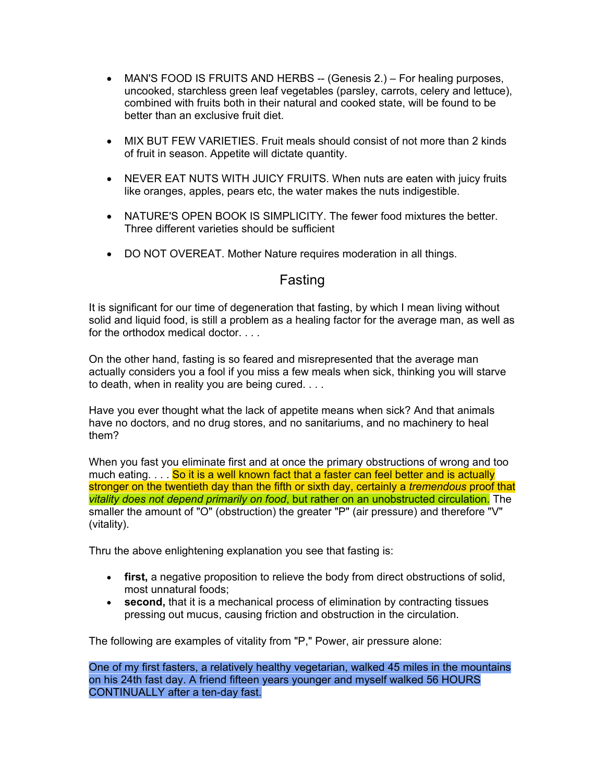- MAN'S FOOD IS FRUITS AND HERBS -- (Genesis 2.) For healing purposes, uncooked, starchless green leaf vegetables (parsley, carrots, celery and lettuce), combined with fruits both in their natural and cooked state, will be found to be better than an exclusive fruit diet.
- MIX BUT FEW VARIETIES. Fruit meals should consist of not more than 2 kinds of fruit in season. Appetite will dictate quantity.
- NEVER EAT NUTS WITH JUICY FRUITS. When nuts are eaten with juicy fruits like oranges, apples, pears etc, the water makes the nuts indigestible.
- NATURE'S OPEN BOOK IS SIMPLICITY. The fewer food mixtures the better. Three different varieties should be sufficient
- DO NOT OVEREAT. Mother Nature requires moderation in all things.

### Fasting

It is significant for our time of degeneration that fasting, by which I mean living without solid and liquid food, is still a problem as a healing factor for the average man, as well as for the orthodox medical doctor. . . .

On the other hand, fasting is so feared and misrepresented that the average man actually considers you a fool if you miss a few meals when sick, thinking you will starve to death, when in reality you are being cured. . . .

Have you ever thought what the lack of appetite means when sick? And that animals have no doctors, and no drug stores, and no sanitariums, and no machinery to heal them?

When you fast you eliminate first and at once the primary obstructions of wrong and too much eating. . . . So it is a well known fact that a faster can feel better and is actually stronger on the twentieth day than the fifth or sixth day, certainly a *tremendous* proof that *vitality does not depend primarily on food*, but rather on an unobstructed circulation. The smaller the amount of "O" (obstruction) the greater "P" (air pressure) and therefore "V" (vitality).

Thru the above enlightening explanation you see that fasting is:

- **first,** a negative proposition to relieve the body from direct obstructions of solid, most unnatural foods;
- **•** second, that it is a mechanical process of elimination by contracting tissues pressing out mucus, causing friction and obstruction in the circulation.

The following are examples of vitality from "P," Power, air pressure alone:

One of my first fasters, a relatively healthy vegetarian, walked 45 miles in the mountains on his 24th fast day. A friend fifteen years younger and myself walked 56 HOURS CONTINUALLY after a ten-day fast.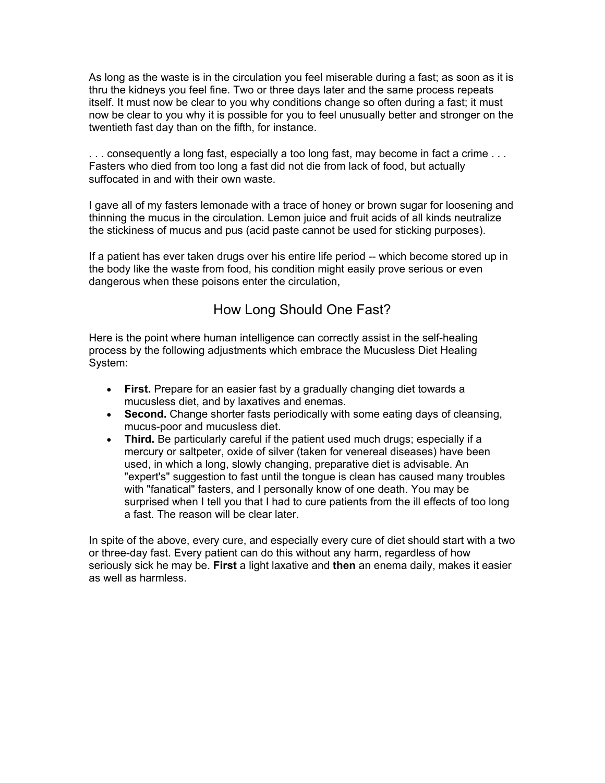As long as the waste is in the circulation you feel miserable during a fast; as soon as it is thru the kidneys you feel fine. Two or three days later and the same process repeats itself. It must now be clear to you why conditions change so often during a fast; it must now be clear to you why it is possible for you to feel unusually better and stronger on the twentieth fast day than on the fifth, for instance.

. . . consequently a long fast, especially a too long fast, may become in fact a crime . . . Fasters who died from too long a fast did not die from lack of food, but actually suffocated in and with their own waste.

I gave all of my fasters lemonade with a trace of honey or brown sugar for loosening and thinning the mucus in the circulation. Lemon juice and fruit acids of all kinds neutralize the stickiness of mucus and pus (acid paste cannot be used for sticking purposes).

If a patient has ever taken drugs over his entire life period -- which become stored up in the body like the waste from food, his condition might easily prove serious or even dangerous when these poisons enter the circulation,

## How Long Should One Fast?

Here is the point where human intelligence can correctly assist in the self-healing process by the following adjustments which embrace the Mucusless Diet Healing System:

- First. Prepare for an easier fast by a gradually changing diet towards a mucusless diet, and by laxatives and enemas.
- **Second.** Change shorter fasts periodically with some eating days of cleansing, mucus-poor and mucusless diet.
- Third. Be particularly careful if the patient used much drugs; especially if a mercury or saltpeter, oxide of silver (taken for venereal diseases) have been used, in which a long, slowly changing, preparative diet is advisable. An "expert's" suggestion to fast until the tongue is clean has caused many troubles with "fanatical" fasters, and I personally know of one death. You may be surprised when I tell you that I had to cure patients from the ill effects of too long a fast. The reason will be clear later.

In spite of the above, every cure, and especially every cure of diet should start with a two or three-day fast. Every patient can do this without any harm, regardless of how seriously sick he may be. **First** a light laxative and **then** an enema daily, makes it easier as well as harmless.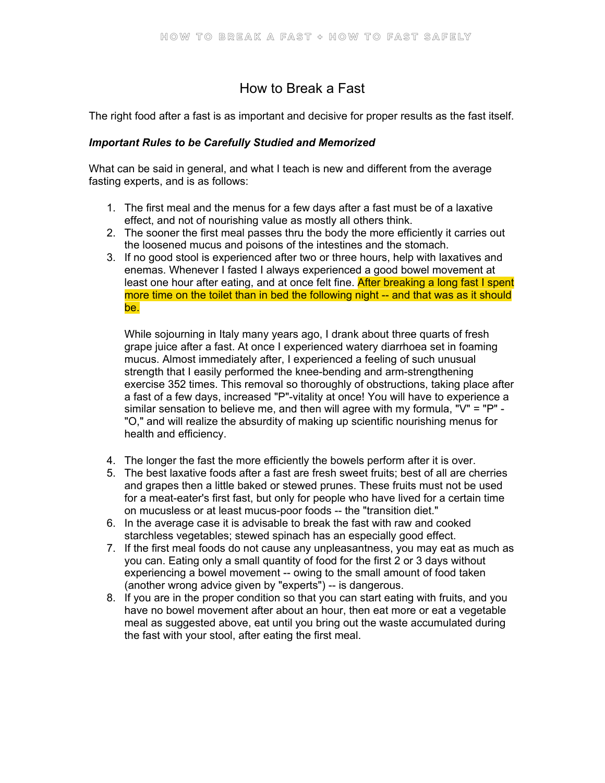## How to Break a Fast

The right food after a fast is as important and decisive for proper results as the fast itself.

#### *Important Rules to be Carefully Studied and Memorized*

What can be said in general, and what I teach is new and different from the average fasting experts, and is as follows:

- 1. The first meal and the menus for a few days after a fast must be of a laxative effect, and not of nourishing value as mostly all others think.
- 2. The sooner the first meal passes thru the body the more efficiently it carries out the loosened mucus and poisons of the intestines and the stomach.
- 3. If no good stool is experienced after two or three hours, help with laxatives and enemas. Whenever I fasted I always experienced a good bowel movement at least one hour after eating, and at once felt fine. After breaking a long fast I spent more time on the toilet than in bed the following night -- and that was as it should be.

While sojourning in Italy many years ago, I drank about three quarts of fresh grape juice after a fast. At once I experienced watery diarrhoea set in foaming mucus. Almost immediately after, I experienced a feeling of such unusual strength that I easily performed the knee-bending and arm-strengthening exercise 352 times. This removal so thoroughly of obstructions, taking place after a fast of a few days, increased "P"-vitality at once! You will have to experience a similar sensation to believe me, and then will agree with my formula, " $V = "P" -$ "O," and will realize the absurdity of making up scientific nourishing menus for health and efficiency.

- 4. The longer the fast the more efficiently the bowels perform after it is over.
- 5. The best laxative foods after a fast are fresh sweet fruits; best of all are cherries and grapes then a little baked or stewed prunes. These fruits must not be used for a meat-eater's first fast, but only for people who have lived for a certain time on mucusless or at least mucus-poor foods -- the "transition diet."
- 6. In the average case it is advisable to break the fast with raw and cooked starchless vegetables; stewed spinach has an especially good effect.
- 7. If the first meal foods do not cause any unpleasantness, you may eat as much as you can. Eating only a small quantity of food for the first 2 or 3 days without experiencing a bowel movement -- owing to the small amount of food taken (another wrong advice given by "experts") -- is dangerous.
- 8. If you are in the proper condition so that you can start eating with fruits, and you have no bowel movement after about an hour, then eat more or eat a vegetable meal as suggested above, eat until you bring out the waste accumulated during the fast with your stool, after eating the first meal.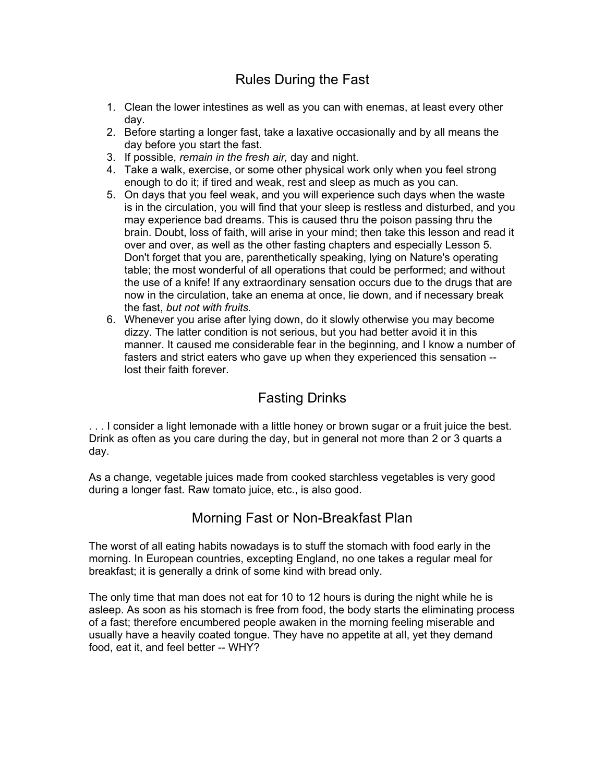# Rules During the Fast

- 1. Clean the lower intestines as well as you can with enemas, at least every other day.
- 2. Before starting a longer fast, take a laxative occasionally and by all means the day before you start the fast.
- 3. If possible, *remain in the fresh air,* day and night.
- 4. Take a walk, exercise, or some other physical work only when you feel strong enough to do it; if tired and weak, rest and sleep as much as you can.
- 5. On days that you feel weak, and you will experience such days when the waste is in the circulation, you will find that your sleep is restless and disturbed, and you may experience bad dreams. This is caused thru the poison passing thru the brain. Doubt, loss of faith, will arise in your mind; then take this lesson and read it over and over, as well as the other fasting chapters and especially Lesson 5. Don't forget that you are, parenthetically speaking, lying on Nature's operating table; the most wonderful of all operations that could be performed; and without the use of a knife! If any extraordinary sensation occurs due to the drugs that are now in the circulation, take an enema at once, lie down, and if necessary break the fast, *but not with fruits.*
- 6. Whenever you arise after lying down, do it slowly otherwise you may become dizzy. The latter condition is not serious, but you had better avoid it in this manner. It caused me considerable fear in the beginning, and I know a number of fasters and strict eaters who gave up when they experienced this sensation - lost their faith forever.

# Fasting Drinks

. . . I consider a light lemonade with a little honey or brown sugar or a fruit juice the best. Drink as often as you care during the day, but in general not more than 2 or 3 quarts a day.

As a change, vegetable juices made from cooked starchless vegetables is very good during a longer fast. Raw tomato juice, etc., is also good.

# Morning Fast or Non-Breakfast Plan

The worst of all eating habits nowadays is to stuff the stomach with food early in the morning. In European countries, excepting England, no one takes a regular meal for breakfast; it is generally a drink of some kind with bread only.

The only time that man does not eat for 10 to 12 hours is during the night while he is asleep. As soon as his stomach is free from food, the body starts the eliminating process of a fast; therefore encumbered people awaken in the morning feeling miserable and usually have a heavily coated tongue. They have no appetite at all, yet they demand food, eat it, and feel better -- WHY?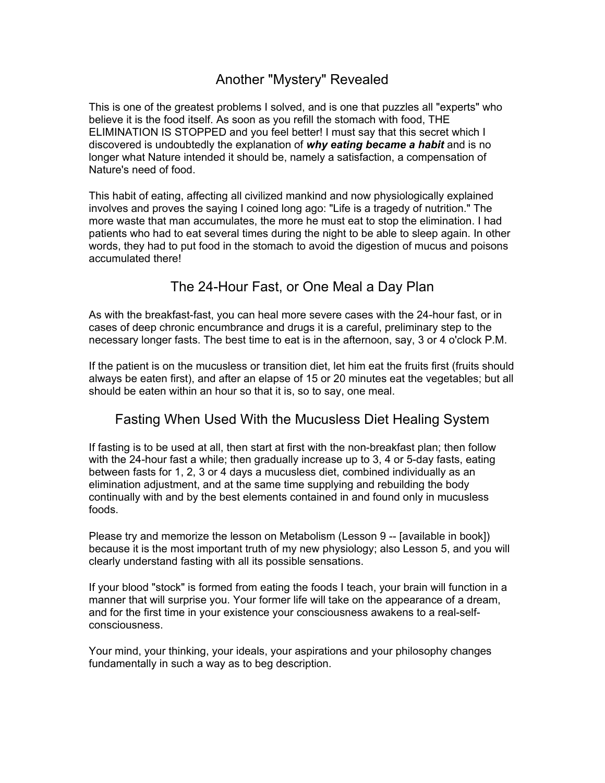## Another "Mystery" Revealed

This is one of the greatest problems I solved, and is one that puzzles all "experts" who believe it is the food itself. As soon as you refill the stomach with food, THE ELIMINATION IS STOPPED and you feel better! I must say that this secret which I discovered is undoubtedly the explanation of *why eating became a habit* and is no longer what Nature intended it should be, namely a satisfaction, a compensation of Nature's need of food.

This habit of eating, affecting all civilized mankind and now physiologically explained involves and proves the saying I coined long ago: "Life is a tragedy of nutrition." The more waste that man accumulates, the more he must eat to stop the elimination. I had patients who had to eat several times during the night to be able to sleep again. In other words, they had to put food in the stomach to avoid the digestion of mucus and poisons accumulated there!

## The 24-Hour Fast, or One Meal a Day Plan

As with the breakfast-fast, you can heal more severe cases with the 24-hour fast, or in cases of deep chronic encumbrance and drugs it is a careful, preliminary step to the necessary longer fasts. The best time to eat is in the afternoon, say, 3 or 4 o'clock P.M.

If the patient is on the mucusless or transition diet, let him eat the fruits first (fruits should always be eaten first), and after an elapse of 15 or 20 minutes eat the vegetables; but all should be eaten within an hour so that it is, so to say, one meal.

### Fasting When Used With the Mucusless Diet Healing System

If fasting is to be used at all, then start at first with the non-breakfast plan; then follow with the 24-hour fast a while; then gradually increase up to 3, 4 or 5-day fasts, eating between fasts for 1, 2, 3 or 4 days a mucusless diet, combined individually as an elimination adjustment, and at the same time supplying and rebuilding the body continually with and by the best elements contained in and found only in mucusless foods.

Please try and memorize the lesson on Metabolism (Lesson 9 -- [available in book]) because it is the most important truth of my new physiology; also Lesson 5, and you will clearly understand fasting with all its possible sensations.

If your blood "stock" is formed from eating the foods I teach, your brain will function in a manner that will surprise you. Your former life will take on the appearance of a dream, and for the first time in your existence your consciousness awakens to a real-selfconsciousness.

Your mind, your thinking, your ideals, your aspirations and your philosophy changes fundamentally in such a way as to beg description.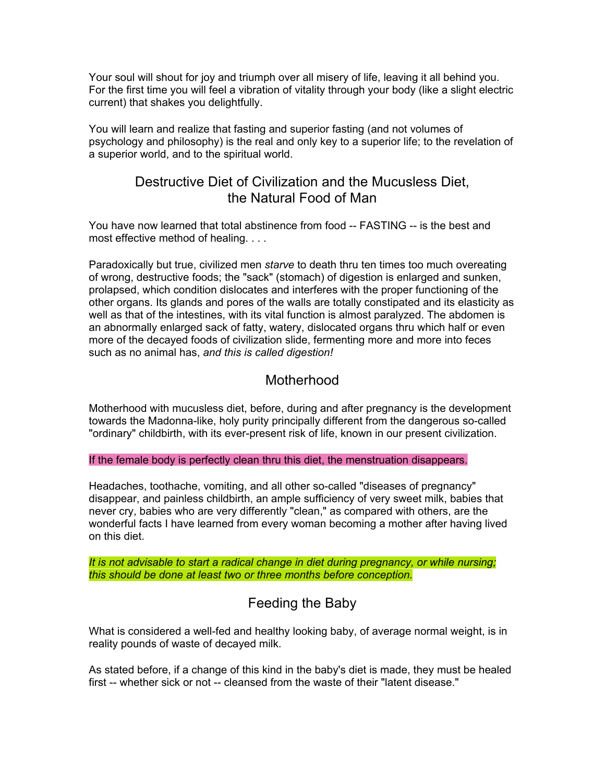Your soul will shout for joy and triumph over all misery of life, leaving it all behind you. For the first time you will feel a vibration of vitality through your body (like a slight electric current) that shakes you delightfully.

You will learn and realize that fasting and superior fasting (and not volumes of psychology and philosophy) is the real and only key to a superior life; to the revelation of a superior world, and to the spiritual world.

#### Destructive Diet of Civilization and the Mucusless Diet, the Natural Food of Man

You have now learned that total abstinence from food -- FASTING -- is the best and most effective method of healing. . . .

Paradoxically but true, civilized men *starve* to death thru ten times too much overeating of wrong, destructive foods; the "sack" (stomach) of digestion is enlarged and sunken, prolapsed, which condition dislocates and interferes with the proper functioning of the other organs. Its glands and pores of the walls are totally constipated and its elasticity as well as that of the intestines, with its vital function is almost paralyzed. The abdomen is an abnormally enlarged sack of fatty, watery, dislocated organs thru which half or even more of the decayed foods of civilization slide, fermenting more and more into feces such as no animal has, *and this is called digestion!*

### Motherhood

Motherhood with mucusless diet, before, during and after pregnancy is the development towards the Madonna-like, holy purity principally different from the dangerous so-called "ordinary" childbirth, with its ever-present risk of life, known in our present civilization.

If the female body is perfectly clean thru this diet, the menstruation disappears.

Headaches, toothache, vomiting, and all other so-called "diseases of pregnancy" disappear, and painless childbirth, an ample sufficiency of very sweet milk, babies that never cry, babies who are very differently "clean," as compared with others, are the wonderful facts I have learned from every woman becoming a mother after having lived on this diet.

*It is not advisable to start a radical change in diet during pregnancy, or while nursing; this should be done at least two or three months before conception.*

# Feeding the Baby

What is considered a well-fed and healthy looking baby, of average normal weight, is in reality pounds of waste of decayed milk.

As stated before, if a change of this kind in the baby's diet is made, they must be healed first -- whether sick or not -- cleansed from the waste of their "latent disease."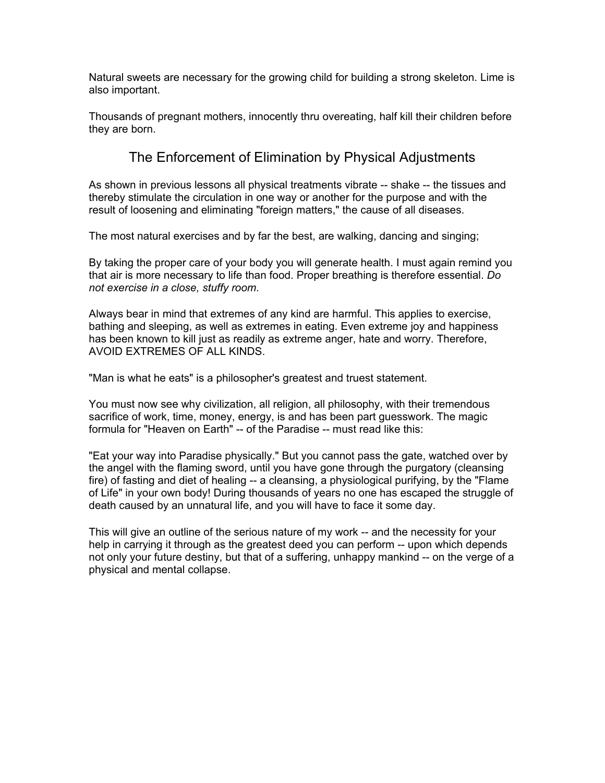Natural sweets are necessary for the growing child for building a strong skeleton. Lime is also important.

Thousands of pregnant mothers, innocently thru overeating, half kill their children before they are born.

## The Enforcement of Elimination by Physical Adjustments

As shown in previous lessons all physical treatments vibrate -- shake -- the tissues and thereby stimulate the circulation in one way or another for the purpose and with the result of loosening and eliminating "foreign matters," the cause of all diseases.

The most natural exercises and by far the best, are walking, dancing and singing;

By taking the proper care of your body you will generate health. I must again remind you that air is more necessary to life than food. Proper breathing is therefore essential. *Do not exercise in a close, stuffy room*.

Always bear in mind that extremes of any kind are harmful. This applies to exercise, bathing and sleeping, as well as extremes in eating. Even extreme joy and happiness has been known to kill just as readily as extreme anger, hate and worry. Therefore, AVOID EXTREMES OF ALL KINDS.

"Man is what he eats" is a philosopher's greatest and truest statement.

You must now see why civilization, all religion, all philosophy, with their tremendous sacrifice of work, time, money, energy, is and has been part guesswork. The magic formula for "Heaven on Earth" -- of the Paradise -- must read like this:

"Eat your way into Paradise physically." But you cannot pass the gate, watched over by the angel with the flaming sword, until you have gone through the purgatory (cleansing fire) of fasting and diet of healing -- a cleansing, a physiological purifying, by the "Flame of Life" in your own body! During thousands of years no one has escaped the struggle of death caused by an unnatural life, and you will have to face it some day.

This will give an outline of the serious nature of my work -- and the necessity for your help in carrying it through as the greatest deed you can perform -- upon which depends not only your future destiny, but that of a suffering, unhappy mankind -- on the verge of a physical and mental collapse.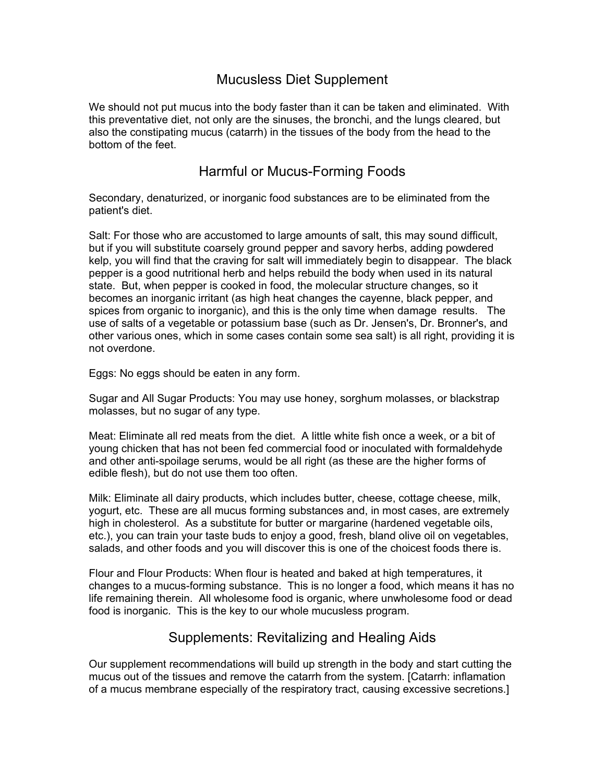#### Mucusless Diet Supplement

We should not put mucus into the body faster than it can be taken and eliminated. With this preventative diet, not only are the sinuses, the bronchi, and the lungs cleared, but also the constipating mucus (catarrh) in the tissues of the body from the head to the bottom of the feet.

### Harmful or Mucus-Forming Foods

Secondary, denaturized, or inorganic food substances are to be eliminated from the patient's diet.

Salt: For those who are accustomed to large amounts of salt, this may sound difficult, but if you will substitute coarsely ground pepper and savory herbs, adding powdered kelp, you will find that the craving for salt will immediately begin to disappear. The black pepper is a good nutritional herb and helps rebuild the body when used in its natural state. But, when pepper is cooked in food, the molecular structure changes, so it becomes an inorganic irritant (as high heat changes the cayenne, black pepper, and spices from organic to inorganic), and this is the only time when damage results. The use of salts of a vegetable or potassium base (such as Dr. Jensen's, Dr. Bronner's, and other various ones, which in some cases contain some sea salt) is all right, providing it is not overdone.

Eggs: No eggs should be eaten in any form.

Sugar and All Sugar Products: You may use honey, sorghum molasses, or blackstrap molasses, but no sugar of any type.

Meat: Eliminate all red meats from the diet. A little white fish once a week, or a bit of young chicken that has not been fed commercial food or inoculated with formaldehyde and other anti-spoilage serums, would be all right (as these are the higher forms of edible flesh), but do not use them too often.

Milk: Eliminate all dairy products, which includes butter, cheese, cottage cheese, milk, yogurt, etc. These are all mucus forming substances and, in most cases, are extremely high in cholesterol. As a substitute for butter or margarine (hardened vegetable oils, etc.), you can train your taste buds to enjoy a good, fresh, bland olive oil on vegetables, salads, and other foods and you will discover this is one of the choicest foods there is.

Flour and Flour Products: When flour is heated and baked at high temperatures, it changes to a mucus-forming substance. This is no longer a food, which means it has no life remaining therein. All wholesome food is organic, where unwholesome food or dead food is inorganic. This is the key to our whole mucusless program.

### Supplements: Revitalizing and Healing Aids

Our supplement recommendations will build up strength in the body and start cutting the mucus out of the tissues and remove the catarrh from the system. [Catarrh: inflamation of a mucus membrane especially of the respiratory tract, causing excessive secretions.]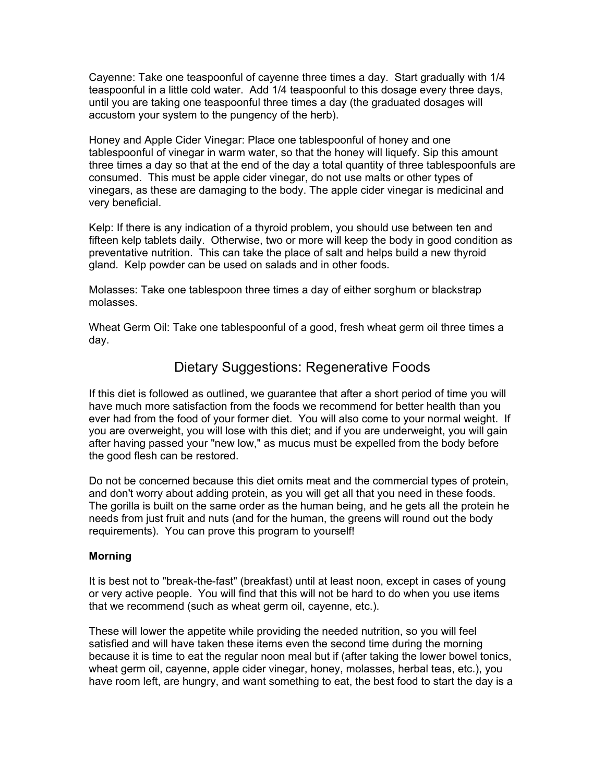Cayenne: Take one teaspoonful of cayenne three times a day. Start gradually with 1/4 teaspoonful in a little cold water. Add 1/4 teaspoonful to this dosage every three days, until you are taking one teaspoonful three times a day (the graduated dosages will accustom your system to the pungency of the herb).

Honey and Apple Cider Vinegar: Place one tablespoonful of honey and one tablespoonful of vinegar in warm water, so that the honey will liquefy. Sip this amount three times a day so that at the end of the day a total quantity of three tablespoonfuls are consumed. This must be apple cider vinegar, do not use malts or other types of vinegars, as these are damaging to the body. The apple cider vinegar is medicinal and very beneficial.

Kelp: If there is any indication of a thyroid problem, you should use between ten and fifteen kelp tablets daily. Otherwise, two or more will keep the body in good condition as preventative nutrition. This can take the place of salt and helps build a new thyroid gland. Kelp powder can be used on salads and in other foods.

Molasses: Take one tablespoon three times a day of either sorghum or blackstrap molasses.

Wheat Germ Oil: Take one tablespoonful of a good, fresh wheat germ oil three times a day.

# Dietary Suggestions: Regenerative Foods

If this diet is followed as outlined, we guarantee that after a short period of time you will have much more satisfaction from the foods we recommend for better health than you ever had from the food of your former diet. You will also come to your normal weight. If you are overweight, you will lose with this diet; and if you are underweight, you will gain after having passed your "new low," as mucus must be expelled from the body before the good flesh can be restored.

Do not be concerned because this diet omits meat and the commercial types of protein, and don't worry about adding protein, as you will get all that you need in these foods. The gorilla is built on the same order as the human being, and he gets all the protein he needs from just fruit and nuts (and for the human, the greens will round out the body requirements). You can prove this program to yourself!

#### **Morning**

It is best not to "break-the-fast" (breakfast) until at least noon, except in cases of young or very active people. You will find that this will not be hard to do when you use items that we recommend (such as wheat germ oil, cayenne, etc.).

These will lower the appetite while providing the needed nutrition, so you will feel satisfied and will have taken these items even the second time during the morning because it is time to eat the regular noon meal but if (after taking the lower bowel tonics, wheat germ oil, cayenne, apple cider vinegar, honey, molasses, herbal teas, etc.), you have room left, are hungry, and want something to eat, the best food to start the day is a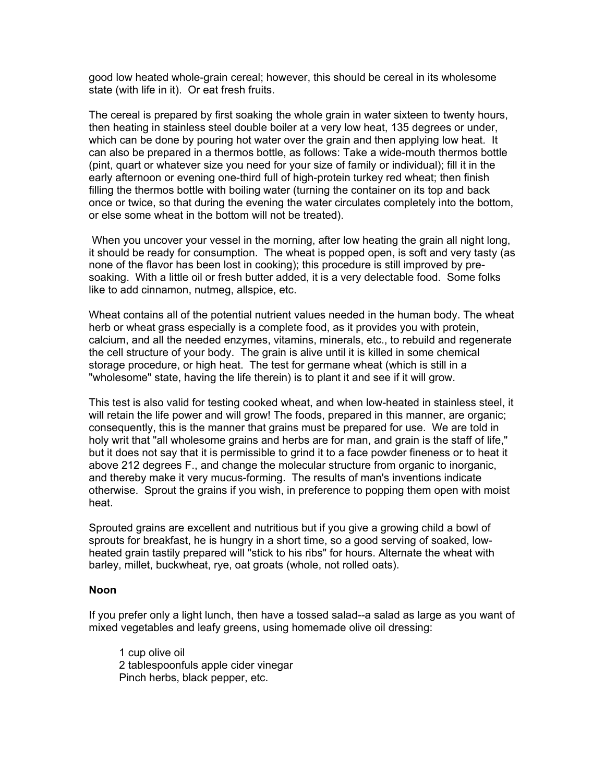good low heated whole-grain cereal; however, this should be cereal in its wholesome state (with life in it). Or eat fresh fruits.

The cereal is prepared by first soaking the whole grain in water sixteen to twenty hours, then heating in stainless steel double boiler at a very low heat, 135 degrees or under, which can be done by pouring hot water over the grain and then applying low heat. It can also be prepared in a thermos bottle, as follows: Take a wide-mouth thermos bottle (pint, quart or whatever size you need for your size of family or individual); fill it in the early afternoon or evening one-third full of high-protein turkey red wheat; then finish filling the thermos bottle with boiling water (turning the container on its top and back once or twice, so that during the evening the water circulates completely into the bottom, or else some wheat in the bottom will not be treated).

When you uncover your vessel in the morning, after low heating the grain all night long, it should be ready for consumption. The wheat is popped open, is soft and very tasty (as none of the flavor has been lost in cooking); this procedure is still improved by presoaking. With a little oil or fresh butter added, it is a very delectable food. Some folks like to add cinnamon, nutmeg, allspice, etc.

Wheat contains all of the potential nutrient values needed in the human body. The wheat herb or wheat grass especially is a complete food, as it provides you with protein, calcium, and all the needed enzymes, vitamins, minerals, etc., to rebuild and regenerate the cell structure of your body. The grain is alive until it is killed in some chemical storage procedure, or high heat. The test for germane wheat (which is still in a "wholesome" state, having the life therein) is to plant it and see if it will grow.

This test is also valid for testing cooked wheat, and when low-heated in stainless steel, it will retain the life power and will grow! The foods, prepared in this manner, are organic; consequently, this is the manner that grains must be prepared for use. We are told in holy writ that "all wholesome grains and herbs are for man, and grain is the staff of life," but it does not say that it is permissible to grind it to a face powder fineness or to heat it above 212 degrees F., and change the molecular structure from organic to inorganic, and thereby make it very mucus-forming. The results of man's inventions indicate otherwise. Sprout the grains if you wish, in preference to popping them open with moist heat.

Sprouted grains are excellent and nutritious but if you give a growing child a bowl of sprouts for breakfast, he is hungry in a short time, so a good serving of soaked, lowheated grain tastily prepared will "stick to his ribs" for hours. Alternate the wheat with barley, millet, buckwheat, rye, oat groats (whole, not rolled oats).

#### **Noon**

If you prefer only a light lunch, then have a tossed salad--a salad as large as you want of mixed vegetables and leafy greens, using homemade olive oil dressing:

 1 cup olive oil 2 tablespoonfuls apple cider vinegar Pinch herbs, black pepper, etc.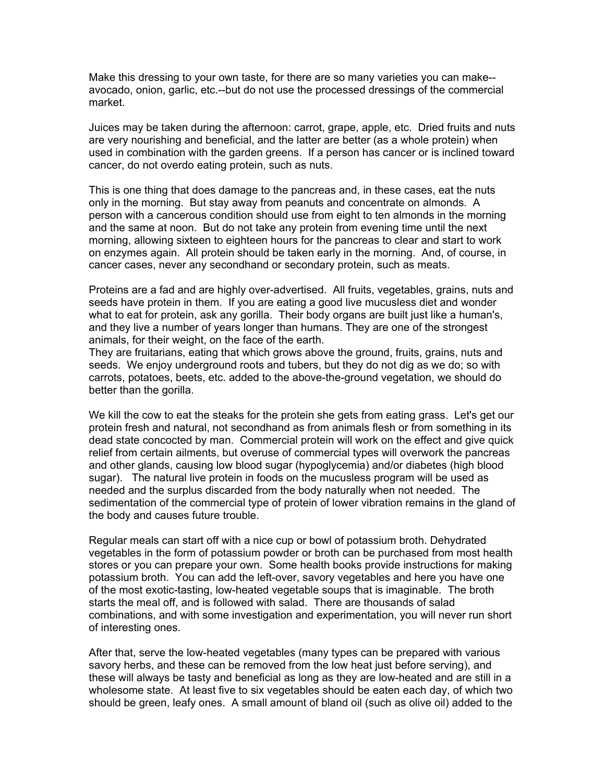Make this dressing to your own taste, for there are so many varieties you can make- avocado, onion, garlic, etc.--but do not use the processed dressings of the commercial market.

Juices may be taken during the afternoon: carrot, grape, apple, etc. Dried fruits and nuts are very nourishing and beneficial, and the latter are better (as a whole protein) when used in combination with the garden greens. If a person has cancer or is inclined toward cancer, do not overdo eating protein, such as nuts.

This is one thing that does damage to the pancreas and, in these cases, eat the nuts only in the morning. But stay away from peanuts and concentrate on almonds. A person with a cancerous condition should use from eight to ten almonds in the morning and the same at noon. But do not take any protein from evening time until the next morning, allowing sixteen to eighteen hours for the pancreas to clear and start to work on enzymes again. All protein should be taken early in the morning. And, of course, in cancer cases, never any secondhand or secondary protein, such as meats.

Proteins are a fad and are highly over-advertised. All fruits, vegetables, grains, nuts and seeds have protein in them. If you are eating a good live mucusless diet and wonder what to eat for protein, ask any gorilla. Their body organs are built just like a human's, and they live a number of years longer than humans. They are one of the strongest animals, for their weight, on the face of the earth.

They are fruitarians, eating that which grows above the ground, fruits, grains, nuts and seeds. We enjoy underground roots and tubers, but they do not dig as we do; so with carrots, potatoes, beets, etc. added to the above-the-ground vegetation, we should do better than the gorilla.

We kill the cow to eat the steaks for the protein she gets from eating grass. Let's get our protein fresh and natural, not secondhand as from animals flesh or from something in its dead state concocted by man. Commercial protein will work on the effect and give quick relief from certain ailments, but overuse of commercial types will overwork the pancreas and other glands, causing low blood sugar (hypoglycemia) and/or diabetes (high blood sugar). The natural live protein in foods on the mucusless program will be used as needed and the surplus discarded from the body naturally when not needed. The sedimentation of the commercial type of protein of lower vibration remains in the gland of the body and causes future trouble.

Regular meals can start off with a nice cup or bowl of potassium broth. Dehydrated vegetables in the form of potassium powder or broth can be purchased from most health stores or you can prepare your own. Some health books provide instructions for making potassium broth. You can add the left-over, savory vegetables and here you have one of the most exotic-tasting, low-heated vegetable soups that is imaginable. The broth starts the meal off, and is followed with salad. There are thousands of salad combinations, and with some investigation and experimentation, you will never run short of interesting ones.

After that, serve the low-heated vegetables (many types can be prepared with various savory herbs, and these can be removed from the low heat just before serving), and these will always be tasty and beneficial as long as they are low-heated and are still in a wholesome state. At least five to six vegetables should be eaten each day, of which two should be green, leafy ones. A small amount of bland oil (such as olive oil) added to the